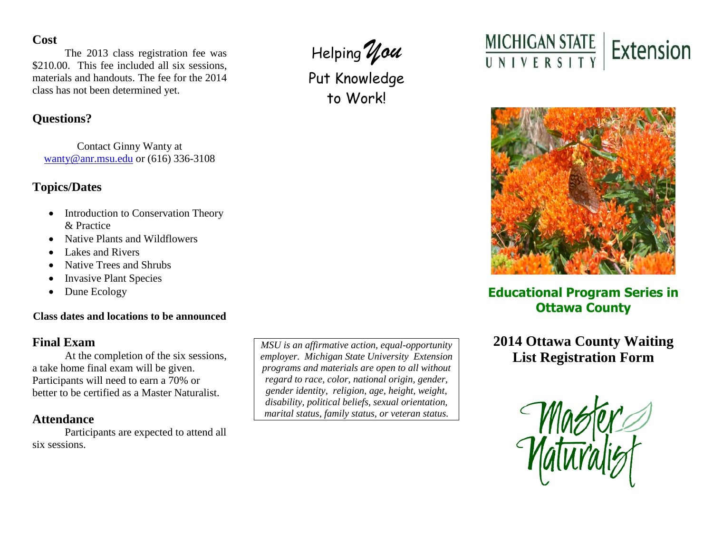### **Cost**

The 2013 class registration fee was \$210.00. This fee included all six sessions, materials and handouts. The fee for the 2014 class has not been determined yet.

# **Questions?**

Contact Ginny Wanty at [wanty@anr.msu.edu](mailto:wanty@anr.msu.edu) or (616) 336-3108

## **Topics/Dates**

- Introduction to Conservation Theory & Practice
- Native Plants and Wildflowers
- Lakes and Rivers
- Native Trees and Shrubs
- Invasive Plant Species
- Dune Ecology

### **Class dates and locations to be announced**

## **Final Exam**

At the completion of the six sessions, a take home final exam will be given. Participants will need to earn a 70% or better to be certified as a Master Naturalist.

## **Attendance**

Participants are expected to attend all six sessions.

*MSU is an affirmative action, equal-opportunity employer. Michigan State University Extension programs and materials are open to all without regard to race, color, national origin, gender, gender identity, religion, age, height, weight, disability, political beliefs, sexual orientation, marital status, family status, or veteran status.*



Put Knowledge to Work!





# **Educational Program Series in Ottawa County**

**2014 Ottawa County Waiting List Registration Form**